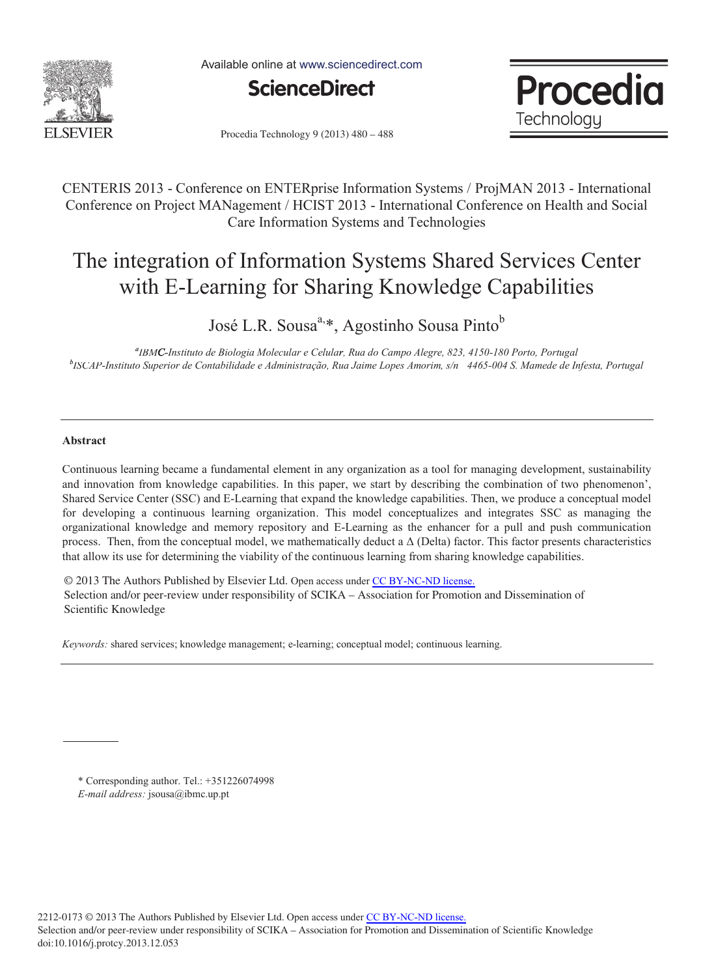

Available online at www.sciencedirect.com





Procedia Technology 9 (2013) 480 - 488

CENTERIS 2013 - Conference on ENTERprise Information Systems / ProjMAN 2013 - International Conference on Project MANagement / HCIST 2013 - International Conference on Health and Social Care Information Systems and Technologies

## The integration of Information Systems Shared Services Center with E-Learning for Sharing Knowledge Capabilities

José L.R. Sousa<sup>a,\*</sup>, Agostinho Sousa Pinto<sup>b</sup>

*a IBMC-Instituto de Biologia Molecular e Celular, Rua do Campo Alegre, 823, 4150-180 Porto, Portugal b ISCAP-Instituto Superior de Contabilidade e Administração, Rua Jaime Lopes Amorim, s/n 4465-004 S. Mamede de Infesta, Portugal*

## **Abstract**

Continuous learning became a fundamental element in any organization as a tool for managing development, sustainability and innovation from knowledge capabilities. In this paper, we start by describing the combination of two phenomenon', Shared Service Center (SSC) and E-Learning that expand the knowledge capabilities. Then, we produce a conceptual model for developing a continuous learning organization. This model conceptualizes and integrates SSC as managing the organizational knowledge and memory repository and E-Learning as the enhancer for a pull and push communication process. Then, from the conceptual model, we mathematically deduct a  $\Delta$  (Delta) factor. This factor presents characteristics that allow its use for determining the viability of the continuous learning from sharing knowledge capabilities.

© 2013 The Authors Published by Elsevier Ltd. Open access under [CC BY-NC-ND license.](http://creativecommons.org/licenses/by-nc-nd/3.0/)<br>
Shipped and the Line of SOULA and the COULA and the Line of SOULA and the Line of Soula and the Line of Soula Selection and/or peer-review under responsibility of SCIKA – Association for Promotion and Dissemination of<br>Seinatific Knowledge Scientific Knowledge

*Keywords:* shared services; knowledge management; e-learning; conceptual model; continuous learning.

\* Corresponding author. Tel.: +351226074998 *E-mail address:* jsousa@ibmc.up.pt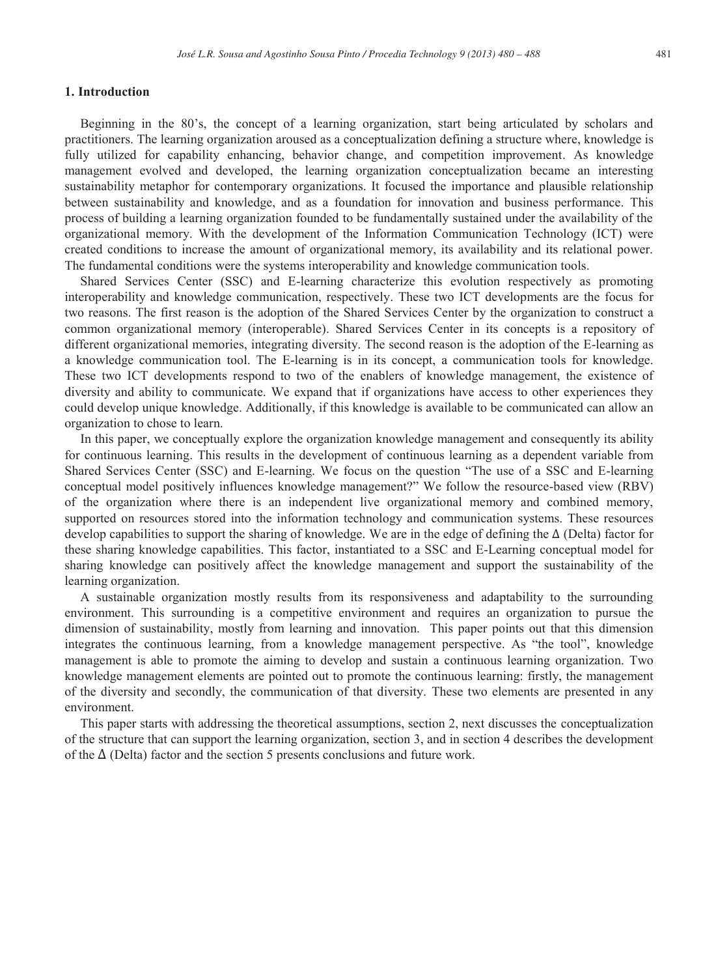## **1. Introduction**

Beginning in the 80's, the concept of a learning organization, start being articulated by scholars and practitioners. The learning organization aroused as a conceptualization defining a structure where, knowledge is fully utilized for capability enhancing, behavior change, and competition improvement. As knowledge management evolved and developed, the learning organization conceptualization became an interesting sustainability metaphor for contemporary organizations. It focused the importance and plausible relationship between sustainability and knowledge, and as a foundation for innovation and business performance. This process of building a learning organization founded to be fundamentally sustained under the availability of the organizational memory. With the development of the Information Communication Technology (ICT) were created conditions to increase the amount of organizational memory, its availability and its relational power. The fundamental conditions were the systems interoperability and knowledge communication tools.

Shared Services Center (SSC) and E-learning characterize this evolution respectively as promoting interoperability and knowledge communication, respectively. These two ICT developments are the focus for two reasons. The first reason is the adoption of the Shared Services Center by the organization to construct a common organizational memory (interoperable). Shared Services Center in its concepts is a repository of different organizational memories, integrating diversity. The second reason is the adoption of the E-learning as a knowledge communication tool. The E-learning is in its concept, a communication tools for knowledge. These two ICT developments respond to two of the enablers of knowledge management, the existence of diversity and ability to communicate. We expand that if organizations have access to other experiences they could develop unique knowledge. Additionally, if this knowledge is available to be communicated can allow an organization to chose to learn.

In this paper, we conceptually explore the organization knowledge management and consequently its ability for continuous learning. This results in the development of continuous learning as a dependent variable from Shared Services Center (SSC) and E-learning. We focus on the question "The use of a SSC and E-learning conceptual model positively influences knowledge management?" We follow the resource-based view (RBV) of the organization where there is an independent live organizational memory and combined memory, supported on resources stored into the information technology and communication systems. These resources develop capabilities to support the sharing of knowledge. We are in the edge of defining the Δ (Delta) factor for these sharing knowledge capabilities. This factor, instantiated to a SSC and E-Learning conceptual model for sharing knowledge can positively affect the knowledge management and support the sustainability of the learning organization.

A sustainable organization mostly results from its responsiveness and adaptability to the surrounding environment. This surrounding is a competitive environment and requires an organization to pursue the dimension of sustainability, mostly from learning and innovation. This paper points out that this dimension integrates the continuous learning, from a knowledge management perspective. As "the tool", knowledge management is able to promote the aiming to develop and sustain a continuous learning organization. Two knowledge management elements are pointed out to promote the continuous learning: firstly, the management of the diversity and secondly, the communication of that diversity. These two elements are presented in any environment.

This paper starts with addressing the theoretical assumptions, section 2, next discusses the conceptualization of the structure that can support the learning organization, section 3, and in section 4 describes the development of the  $\Delta$  (Delta) factor and the section 5 presents conclusions and future work.